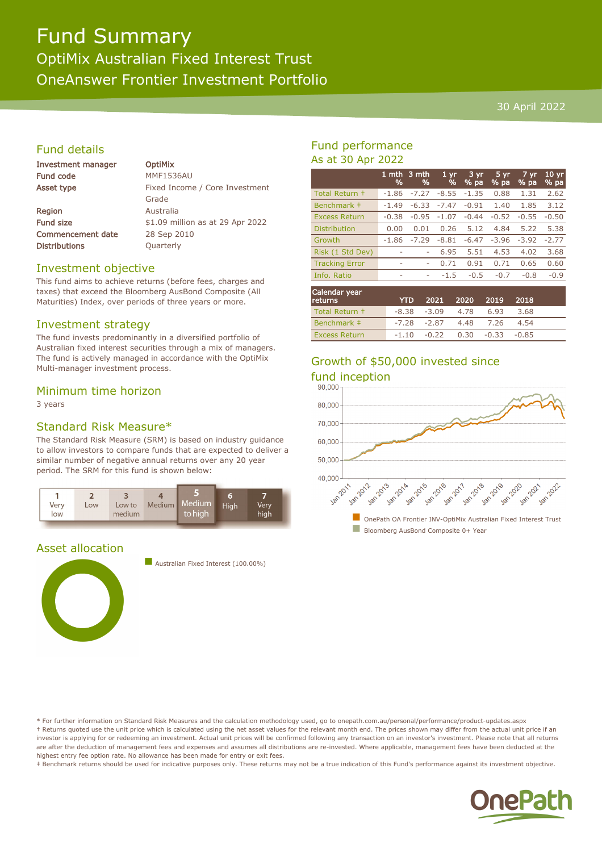# Fund Summary

OptiMix Australian Fixed Interest Trust OneAnswer Frontier Investment Portfolio

### 30 April 2022

# Fund details

| Investment manager       | <b>OptiMix</b>      |  |  |  |
|--------------------------|---------------------|--|--|--|
| <b>Fund code</b>         | <b>MMF1536AU</b>    |  |  |  |
| Asset type               | <b>Fixed Income</b> |  |  |  |
|                          | Grade               |  |  |  |
| <b>Region</b>            | Australia           |  |  |  |
| <b>Fund size</b>         | $$1.09$ million     |  |  |  |
| <b>Commencement date</b> | 28 Sep 2010         |  |  |  |

ne / Core Investment on as at  $29$  Apr  $2022$ Distributions **Quarterly** 

### Investment objective

This fund aims to achieve returns (before fees, charges and taxes) that exceed the Bloomberg AusBond Composite (All Maturities) Index, over periods of three years or more.

### Investment strategy

The fund invests predominantly in a diversified portfolio of Australian fixed interest securities through a mix of managers. The fund is actively managed in accordance with the OptiMix Multi-manager investment process.

### Minimum time horizon

3 years

### Standard Risk Measure\*

The Standard Risk Measure (SRM) is based on industry guidance to allow investors to compare funds that are expected to deliver a similar number of negative annual returns over any 20 year period. The SRM for this fund is shown below:



# Asset allocation



**n** Australian Fixed Interest (100.00%)

# Fund performance As at 30 Apr 2022

|                       | %       | 1 mth 3 mth<br>% | 1 <sub>yr</sub><br>% | $3 \, yr$<br>% pa | $5 \,\mathrm{yr}$<br>% pa | 7 yr<br>% pa | $10 \,\mathrm{yr}$<br>% pa |
|-----------------------|---------|------------------|----------------------|-------------------|---------------------------|--------------|----------------------------|
| Total Return +        | $-1.86$ | $-7.27$          | $-8.55$              | $-1.35$           | 0.88                      | 1.31         | 2.62                       |
| Benchmark #           | $-1.49$ | $-6.33$          | $-7.47$              | $-0.91$           | 1.40                      | 1.85         | 3.12                       |
| <b>Excess Return</b>  | $-0.38$ | $-0.95$          | $-1.07$              | $-0.44$           | $-0.52$                   | $-0.55$      | $-0.50$                    |
| <b>Distribution</b>   | 0.00    | 0.01             | 0.26                 | 5.12              | 4.84                      | 5.22         | 5.38                       |
| Growth                | $-1.86$ | $-7.29$          | $-8.81$              | $-6.47$           | $-3.96$                   | $-3.92$      | $-2.77$                    |
| Risk (1 Std Dev)      |         |                  | 6.95                 | 5.51              | 4.53                      | 4.02         | 3.68                       |
| <b>Tracking Error</b> | ۰       | ۰                | 0.71                 | 0.91              | 0.71                      | 0.65         | 0.60                       |
| Info. Ratio           |         | ۰                | $-1.5$               | $-0.5$            | $-0.7$                    | $-0.8$       | $-0.9$                     |
| Colondon voor         |         |                  |                      |                   |                           |              |                            |

| Calendar year<br><b>returns</b> | <b>YTD</b> | 2021 2020                     | 2019          | 2018  |  |
|---------------------------------|------------|-------------------------------|---------------|-------|--|
| Total Return +                  |            | $-8.38$ $-3.09$ $4.78$ 6.93   |               | 3.68  |  |
| Benchmark #                     |            | $-7.28$ $-2.87$ $4.48$ $7.26$ |               | 4.54  |  |
| <b>Excess Return</b>            | $-1.10$    | $-0.22$                       | $0.30 - 0.33$ | -0.85 |  |

# Growth of \$50,000 invested since



\* For further information on Standard Risk Measures and the calculation methodology used, go to onepath.com.au/personal/performance/product-updates.aspx † Returns quoted use the unit price which is calculated using the net asset values for the relevant month end. The prices shown may differ from the actual unit price if an investor is applying for or redeeming an investment. Actual unit prices will be confirmed following any transaction on an investor's investment. Please note that all returns are after the deduction of management fees and expenses and assumes all distributions are re-invested. Where applicable, management fees have been deducted at the highest entry fee option rate. No allowance has been made for entry or exit fees.

‡ Benchmark returns should be used for indicative purposes only. These returns may not be a true indication of this Fund's performance against its investment objective.